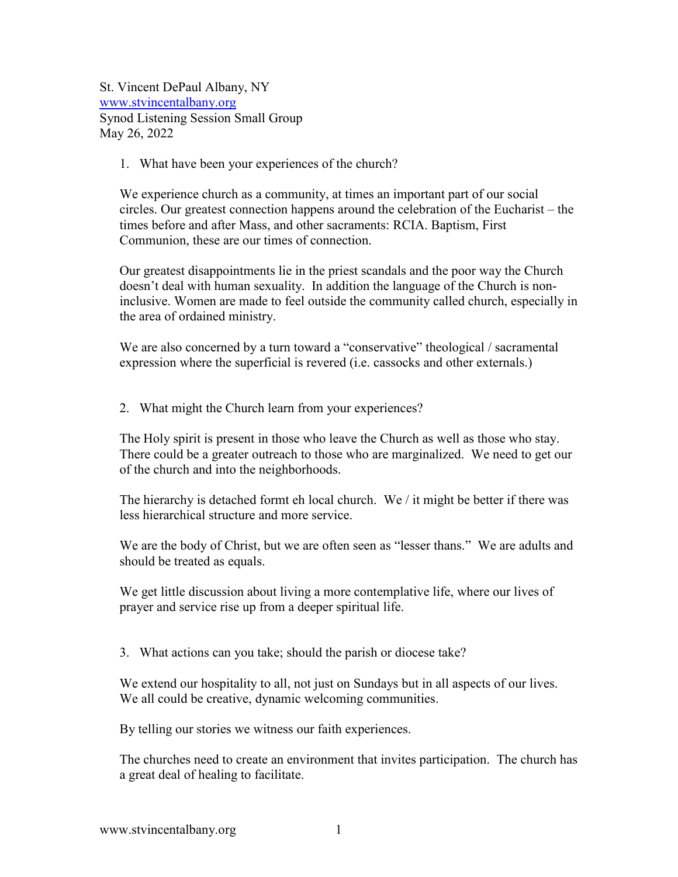St. Vincent DePaul Albany, NY [www.stvincentalbany.org](http://www.stvincentalbany.org/) Synod Listening Session Small Group May 26, 2022

## 1. What have been your experiences of the church?

We experience church as a community, at times an important part of our social circles. Our greatest connection happens around the celebration of the Eucharist – the times before and after Mass, and other sacraments: RCIA. Baptism, First Communion, these are our times of connection.

Our greatest disappointments lie in the priest scandals and the poor way the Church doesn't deal with human sexuality. In addition the language of the Church is noninclusive. Women are made to feel outside the community called church, especially in the area of ordained ministry.

We are also concerned by a turn toward a "conservative" theological / sacramental expression where the superficial is revered (i.e. cassocks and other externals.)

2. What might the Church learn from your experiences?

The Holy spirit is present in those who leave the Church as well as those who stay. There could be a greater outreach to those who are marginalized. We need to get our of the church and into the neighborhoods.

The hierarchy is detached formt eh local church. We  $\ell$  it might be better if there was less hierarchical structure and more service.

We are the body of Christ, but we are often seen as "lesser thans." We are adults and should be treated as equals.

We get little discussion about living a more contemplative life, where our lives of prayer and service rise up from a deeper spiritual life.

3. What actions can you take; should the parish or diocese take?

We extend our hospitality to all, not just on Sundays but in all aspects of our lives. We all could be creative, dynamic welcoming communities.

By telling our stories we witness our faith experiences.

The churches need to create an environment that invites participation. The church has a great deal of healing to facilitate.